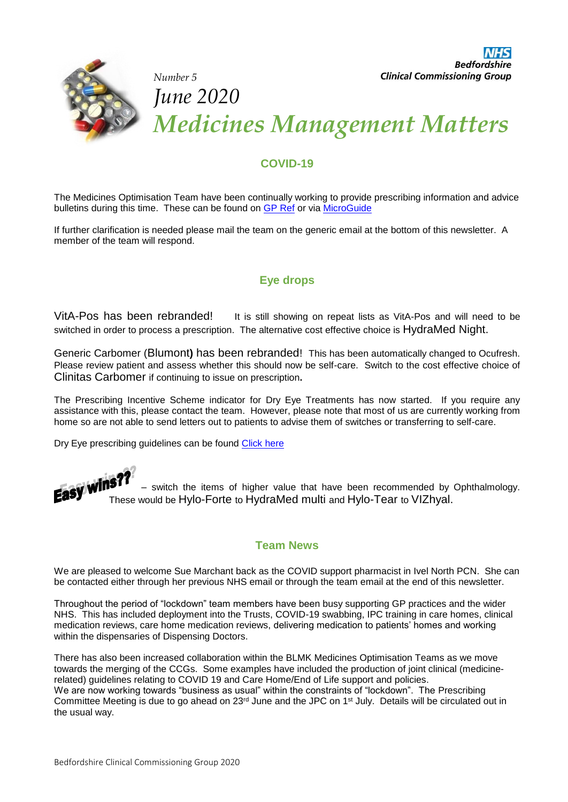

# **COVID-19**

The Medicines Optimisation Team have been continually working to provide prescribing information and advice bulletins during this time. These can be found on [GP Ref](https://www.gpref.bedfordshire.nhs.uk/referrals/covid-19-information.aspx) or via [MicroGuide](https://viewer.microguide.global/guide/1000000224)

If further clarification is needed please mail the team on the generic email at the bottom of this newsletter. A member of the team will respond.

# **Eye drops**

VitA-Pos has been rebranded! It is still showing on repeat lists as VitA-Pos and will need to be switched in order to process a prescription. The alternative cost effective choice is HydraMed Night.

Generic Carbomer (Blumont**)** has been rebranded! This has been automatically changed to Ocufresh. Please review patient and assess whether this should now be self-care. Switch to the cost effective choice of Clinitas Carbomer if continuing to issue on prescription**.** 

The Prescribing Incentive Scheme indicator for Dry Eye Treatments has now started. If you require any assistance with this, please contact the team. However, please note that most of us are currently working from home so are not able to send letters out to patients to advise them of switches or transferring to self-care.

Dry Eye prescribing guidelines can be found [Click here](https://www.gpref.bedfordshire.nhs.uk/media/231231/bedsprescguidelinesdyeeyemgmntadultsdec19.pdf)

– switch the items of higher value that have been recommended by Ophthalmology. These would be Hylo-Forte to HydraMed multi and Hylo-Tear to VIZhyal.

## **Team News**

We are pleased to welcome Sue Marchant back as the COVID support pharmacist in Ivel North PCN. She can be contacted either through her previous NHS email or through the team email at the end of this newsletter.

Throughout the period of "lockdown" team members have been busy supporting GP practices and the wider NHS. This has included deployment into the Trusts, COVID-19 swabbing, IPC training in care homes, clinical medication reviews, care home medication reviews, delivering medication to patients' homes and working within the dispensaries of Dispensing Doctors.

There has also been increased collaboration within the BLMK Medicines Optimisation Teams as we move towards the merging of the CCGs. Some examples have included the production of joint clinical (medicinerelated) guidelines relating to COVID 19 and Care Home/End of Life support and policies. We are now working towards "business as usual" within the constraints of "lockdown". The Prescribing Committee Meeting is due to go ahead on 23<sup>rd</sup> June and the JPC on 1<sup>st</sup> July. Details will be circulated out in the usual way.